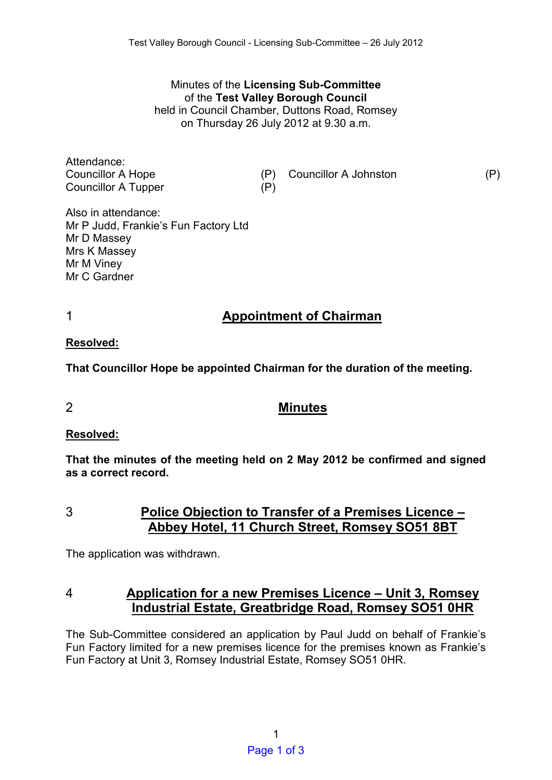Minutes of the **Licensing Sub-Committee**  of the **Test Valley Borough Council** held in Council Chamber, Duttons Road, Romsey on Thursday 26 July 2012 at 9.30 a.m.

Attendance: Councillor A Tupper (P)

Councillor A Hope (P) Councillor A Johnston (P)

Also in attendance: Mr P Judd, Frankie's Fun Factory Ltd Mr D Massey Mrs K Massey Mr M Viney Mr C Gardner

# 1 **Appointment of Chairman**

**Resolved:** 

**That Councillor Hope be appointed Chairman for the duration of the meeting.** 

## 2 **Minutes**

#### **Resolved:**

**That the minutes of the meeting held on 2 May 2012 be confirmed and signed as a correct record.** 

3 **Police Objection to Transfer of a Premises Licence – Abbey Hotel, 11 Church Street, Romsey SO51 8BT** 

The application was withdrawn.

# 4 **Application for a new Premises Licence – Unit 3, Romsey Industrial Estate, Greatbridge Road, Romsey SO51 0HR**

The Sub-Committee considered an application by Paul Judd on behalf of Frankie's Fun Factory limited for a new premises licence for the premises known as Frankie's Fun Factory at Unit 3, Romsey Industrial Estate, Romsey SO51 0HR.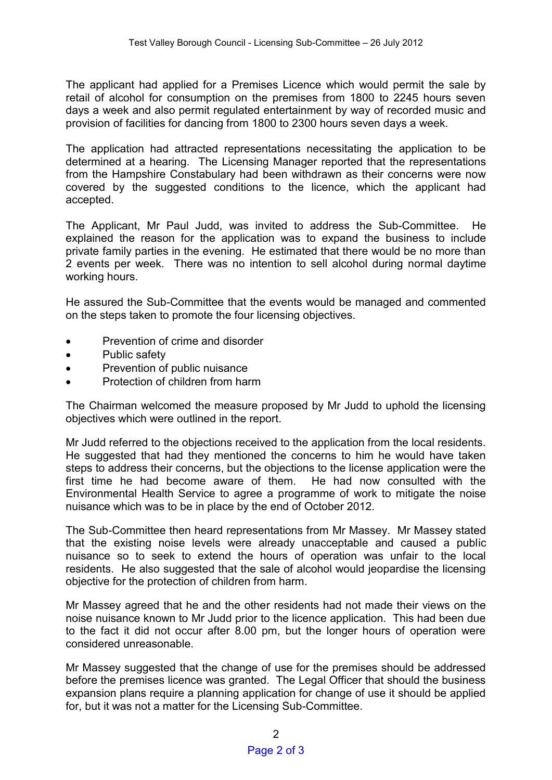The applicant had applied for a Premises Licence which would permit the sale by retail of alcohol for consumption on the premises from 1800 to 2245 hours seven days a week and also permit regulated entertainment by way of recorded music and provision of facilities for dancing from 1800 to 2300 hours seven days a week.

The application had attracted representations necessitating the application to be determined at a hearing. The Licensing Manager reported that the representations from the Hampshire Constabulary had been withdrawn as their concerns were now covered by the suggested conditions to the licence, which the applicant had accepted.

The Applicant, Mr Paul Judd, was invited to address the Sub-Committee. He explained the reason for the application was to expand the business to include private family parties in the evening. He estimated that there would be no more than 2 events per week. There was no intention to sell alcohol during normal daytime working hours.

He assured the Sub-Committee that the events would be managed and commented on the steps taken to promote the four licensing objectives.

- Prevention of crime and disorder
- Public safety
- Prevention of public nuisance
- Protection of children from harm

The Chairman welcomed the measure proposed by Mr Judd to uphold the licensing objectives which were outlined in the report.

Mr Judd referred to the objections received to the application from the local residents. He suggested that had they mentioned the concerns to him he would have taken steps to address their concerns, but the objections to the license application were the first time he had become aware of them. He had now consulted with the Environmental Health Service to agree a programme of work to mitigate the noise nuisance which was to be in place by the end of October 2012.

The Sub-Committee then heard representations from Mr Massey. Mr Massey stated that the existing noise levels were already unacceptable and caused a public nuisance so to seek to extend the hours of operation was unfair to the local residents. He also suggested that the sale of alcohol would jeopardise the licensing objective for the protection of children from harm.

Mr Massey agreed that he and the other residents had not made their views on the noise nuisance known to Mr Judd prior to the licence application. This had been due to the fact it did not occur after 8.00 pm, but the longer hours of operation were considered unreasonable.

Mr Massey suggested that the change of use for the premises should be addressed before the premises licence was granted. The Legal Officer that should the business expansion plans require a planning application for change of use it should be applied for, but it was not a matter for the Licensing Sub-Committee.